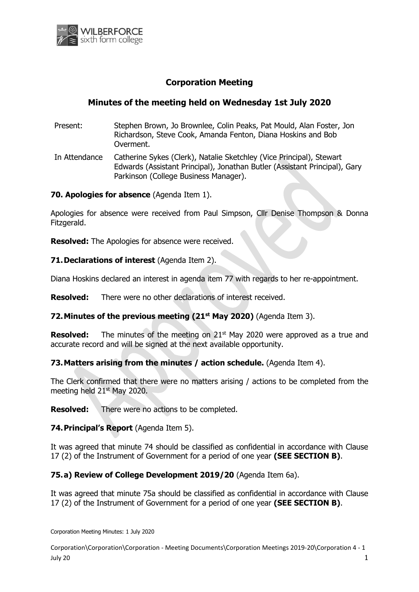

# **Corporation Meeting**

## **Minutes of the meeting held on Wednesday 1st July 2020**

- Present: Stephen Brown, Jo Brownlee, Colin Peaks, Pat Mould, Alan Foster, Jon Richardson, Steve Cook, Amanda Fenton, Diana Hoskins and Bob Overment.
- In Attendance Catherine Sykes (Clerk), Natalie Sketchley (Vice Principal), Stewart Edwards (Assistant Principal), Jonathan Butler (Assistant Principal), Gary Parkinson (College Business Manager).

#### **70. Apologies for absence** (Agenda Item 1).

Apologies for absence were received from Paul Simpson, Cllr Denise Thompson & Donna Fitzgerald.

**Resolved:** The Apologies for absence were received.

### **71.Declarations of interest** (Agenda Item 2).

Diana Hoskins declared an interest in agenda item 77 with regards to her re-appointment.

**Resolved:** There were no other declarations of interest received.

## **72.Minutes of the previous meeting (21 st May 2020)** (Agenda Item 3).

**Resolved:** The minutes of the meeting on 21<sup>st</sup> May 2020 were approved as a true and accurate record and will be signed at the next available opportunity.

## **73.Matters arising from the minutes / action schedule.** (Agenda Item 4).

The Clerk confirmed that there were no matters arising / actions to be completed from the meeting held 21st May 2020.

**Resolved:** There were no actions to be completed.

## **74.Principal's Report** (Agenda Item 5).

It was agreed that minute 74 should be classified as confidential in accordance with Clause 17 (2) of the Instrument of Government for a period of one year **(SEE SECTION B)**.

#### **75.a) Review of College Development 2019/20** (Agenda Item 6a).

It was agreed that minute 75a should be classified as confidential in accordance with Clause 17 (2) of the Instrument of Government for a period of one year **(SEE SECTION B)**.

Corporation Meeting Minutes: 1 July 2020

Corporation\Corporation\Corporation - Meeting Documents\Corporation Meetings 2019-20\Corporation 4 - 1 July 20  $1$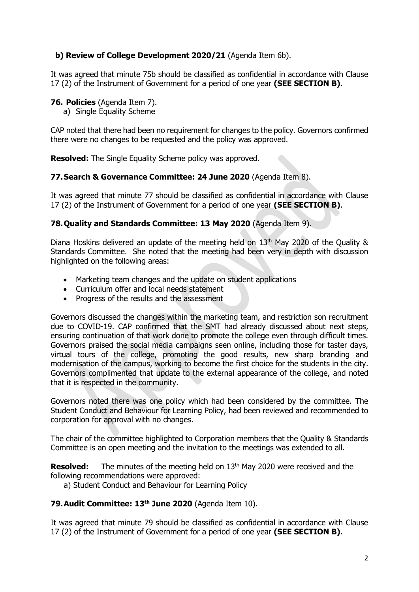## **b) Review of College Development 2020/21** (Agenda Item 6b).

It was agreed that minute 75b should be classified as confidential in accordance with Clause 17 (2) of the Instrument of Government for a period of one year **(SEE SECTION B)**.

### **76. Policies** (Agenda Item 7).

a) Single Equality Scheme

CAP noted that there had been no requirement for changes to the policy. Governors confirmed there were no changes to be requested and the policy was approved.

**Resolved:** The Single Equality Scheme policy was approved.

### **77.Search & Governance Committee: 24 June 2020** (Agenda Item 8).

It was agreed that minute 77 should be classified as confidential in accordance with Clause 17 (2) of the Instrument of Government for a period of one year **(SEE SECTION B)**.

### **78.Quality and Standards Committee: 13 May 2020** (Agenda Item 9).

Diana Hoskins delivered an update of the meeting held on 13<sup>th</sup> May 2020 of the Quality & Standards Committee. She noted that the meeting had been very in depth with discussion highlighted on the following areas:

- Marketing team changes and the update on student applications
- Curriculum offer and local needs statement
- Progress of the results and the assessment

Governors discussed the changes within the marketing team, and restriction son recruitment due to COVID-19. CAP confirmed that the SMT had already discussed about next steps, ensuring continuation of that work done to promote the college even through difficult times. Governors praised the social media campaigns seen online, including those for taster days, virtual tours of the college, promoting the good results, new sharp branding and modernisation of the campus, working to become the first choice for the students in the city. Governors complimented that update to the external appearance of the college, and noted that it is respected in the community.

Governors noted there was one policy which had been considered by the committee. The Student Conduct and Behaviour for Learning Policy, had been reviewed and recommended to corporation for approval with no changes.

The chair of the committee highlighted to Corporation members that the Quality & Standards Committee is an open meeting and the invitation to the meetings was extended to all.

**Resolved:** The minutes of the meeting held on 13<sup>th</sup> May 2020 were received and the following recommendations were approved:

a) Student Conduct and Behaviour for Learning Policy

#### **79.Audit Committee: 13 th June 2020** (Agenda Item 10).

It was agreed that minute 79 should be classified as confidential in accordance with Clause 17 (2) of the Instrument of Government for a period of one year **(SEE SECTION B)**.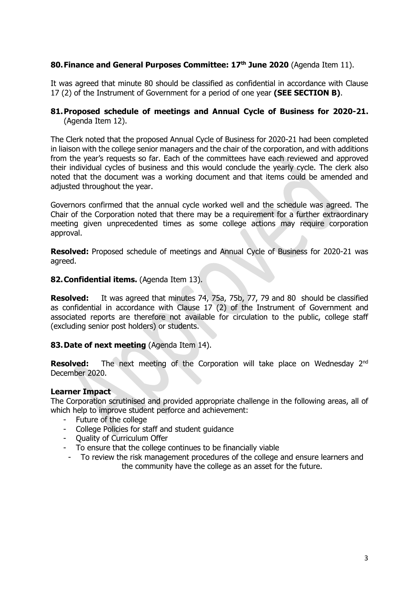## **80.Finance and General Purposes Committee: 17th June 2020** (Agenda Item 11).

It was agreed that minute 80 should be classified as confidential in accordance with Clause 17 (2) of the Instrument of Government for a period of one year **(SEE SECTION B)**.

### **81.Proposed schedule of meetings and Annual Cycle of Business for 2020-21.** (Agenda Item 12).

The Clerk noted that the proposed Annual Cycle of Business for 2020-21 had been completed in liaison with the college senior managers and the chair of the corporation, and with additions from the year's requests so far. Each of the committees have each reviewed and approved their individual cycles of business and this would conclude the yearly cycle. The clerk also noted that the document was a working document and that items could be amended and adjusted throughout the year.

Governors confirmed that the annual cycle worked well and the schedule was agreed. The Chair of the Corporation noted that there may be a requirement for a further extraordinary meeting given unprecedented times as some college actions may require corporation approval.

**Resolved:** Proposed schedule of meetings and Annual Cycle of Business for 2020-21 was agreed.

#### **82.Confidential items.** (Agenda Item 13).

**Resolved:** It was agreed that minutes 74, 75a, 75b, 77, 79 and 80 should be classified as confidential in accordance with Clause 17 (2) of the Instrument of Government and associated reports are therefore not available for circulation to the public, college staff (excluding senior post holders) or students.

#### **83.Date of next meeting** (Agenda Item 14).

**Resolved:** The next meeting of the Corporation will take place on Wednesday 2<sup>nd</sup> December 2020.

#### **Learner Impact**

The Corporation scrutinised and provided appropriate challenge in the following areas, all of which help to improve student perforce and achievement:

- Future of the college
- College Policies for staff and student guidance
- Quality of Curriculum Offer
- To ensure that the college continues to be financially viable
- To review the risk management procedures of the college and ensure learners and the community have the college as an asset for the future.